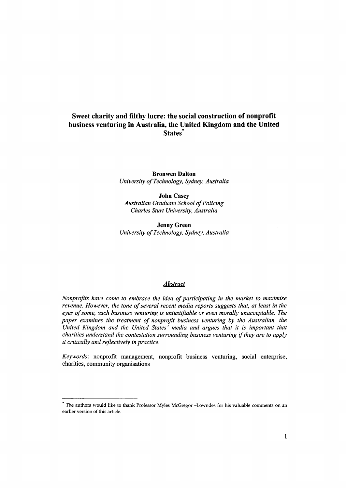## **Sweet charity and filthy lucre: the social construction of nonprofit business venturing in Australia, the United Kingdom and the United** States<sup>\*</sup>

**Bronwen Dalton** *University of Technology, Sydney, Australia*

**John** Casey *Australian Graduate School of Policing Charles Sturt University, Australia*

Jenny Green *University of Technology, Sydney, Australia*

### *Abstract*

*Nonprofits have come to embrace the idea of participating in the market to maximise revenue. However, the tone of several recent media reports suggests that, at least in the eyes of some, such business venturing is unjustifiable or even morally unacceptable. The paper examines the treatment of nonprofit business venturing by the Australian, the United Kingdom and the United States' media and argues that it is important that charities understand the contestation surrounding business venturing if they are to apply it critically and reflectively in practice.*

*Keywords:* nonprofit management, nonprofit business venturing, social enterprise, charities, community organisations

The authors would like to thank Professor Myles McGregor -Lowndes for his valuable comments on an earlier version of this article.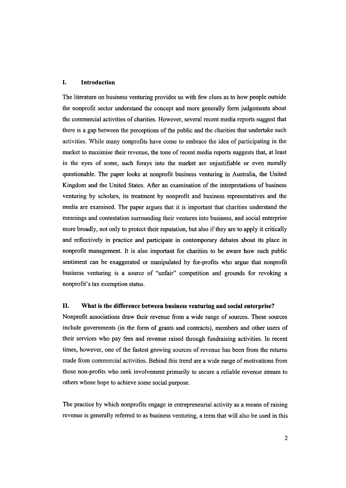### **I. Introduction**

The literature on business venturing provides us with few clues as to how people outside the nonprofit sector understand the concept and more generally form judgements about the commercial activities of charities. However, several recent media reports suggest that there is a gap between the perceptions of the public and the charities that undertake such activities. While many nonprofits have come to embrace the idea of participating in the market to maximise their revenue, the tone of recent media reports suggests that, at least in the eyes of some, such forays into the market are unjustifiable or even morally questionable. The paper looks at nonprofit business venturing in Australia, the United Kingdom and the United States. After an examination of the interpretations of business venturing by scholars, its treatment by nonprofit and business representatives and the media are examined. The paper argues that it is important that charities understand the meanings and contestation surrounding their ventures into business, and social enterprise more broadly, not only to protect their reputation, but also if they are to apply it critically and reflectively in practice and participate in contemporary debates about its place in nonprofit management. It is also important for charities to be aware how such public sentiment can be exaggerated or manipulated by for-profits who argue that nonprofit business venturing is a source of "unfair" competition and grounds for revoking a nonprofit's tax exemption status.

## **II. What is the difference between business venturing and social enterprise?**

Nonprofit associations draw their revenue from a wide range of sources. These sources include governments (in the form of grants and contracts), members and other users of their services who pay fees and revenue raised through fundraising activities. In recent times, however, one of the fastest growing sources of revenue has been from the returns made from commercial activities. Behind this trend are a wide range of motivations from those non-profits who seek involvement primarily to secure a reliable revenue stream to others whose hope to achieve some social purpose.

The practice by which nonprofits engage in entrepreneurial activity as a means of raising revenue is generally referred to as business venturing, a term that will also be used in this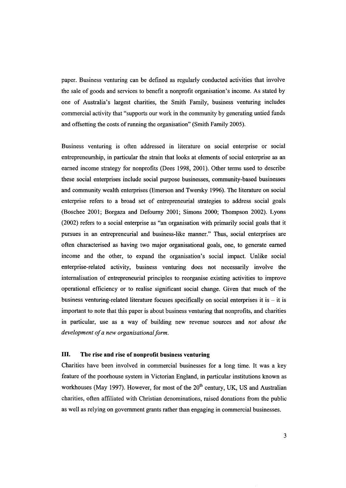paper. Business venturing can be defined as regularly conducted activities that involve the sale of goods and services to benefit a nonprofit organisation's income. As stated by one of Australia's largest charities, the Smith Family, business venturing includes commercial activity that "supports our work in the community by generating untied funds and offsetting the costs of running the organisation" (Smith Family 2005).

Business venturing is often addressed in literature on social enterprise or social entrepreneurship, in particular the strain that looks at elements of social enterprise as an earned income strategy for nonprofits (Dees 1998, 2001). Other terms used to describe these social enterprises include social purpose businesses, community-based businesses and community wealth enterprises (Emerson and Twersky 1996). The literature on social enterprise refers to a broad set of entrepreneurial strategies to address social goals (Boschee 2001; Borgaza and Defourny 2001; Simons 2000; Thompson 2002). Lyons (2002) refers to a social enterprise as "an organisation with primarily social goals that it pursues in an entrepreneurial and business-like manner." Thus, social enterprises are often characterised as having two major organisational goals, one, to generate earned income and the other, to expand the organisation's social impact. Unlike social enterprise-related activity, business venturing does not necessarily involve the internalisation of entrepreneurial principles to reorganise existing activities to improve operational efficiency or to realise significant social change. Given that much of the business venturing-related literature focuses specifically on social enterprises it is  $-$  it is important to note that this paper is about business venturing that nonprofits, and charities in particular, use as a way of building new revenue sources and *not about the development of a new organisational form.*

## **ID. The rise and rise of nonprofit business venturing**

Charities have been involved in commercial businesses for a long time. It was a key feature of the poorhouse system in Victorian England, in particular institutions known as workhouses (May 1997). However, for most of the  $20<sup>th</sup>$  century, UK, US and Australian charities, often affiliated with Christian denominations, raised donations from the public as well as relying on government grants rather than engaging in commercial businesses.

3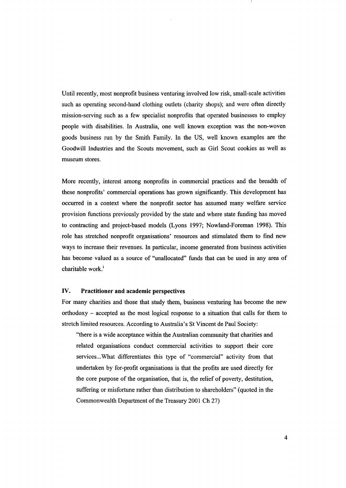Until recently, most nonprofit business venturing involved low risk, small-scale activities such as operating second-hand clothing outlets (charity shops); and were often directly mission-serving such as a few specialist nonprofits that operated businesses to employ people with disabilities. In Australia, one well known exception was the non-woven goods business run by the Smith Family. In the US, well known examples are the Goodwill Industries and the Scouts movement, such as Girl Scout cookies as well as museum stores.

More recently, interest among nonprofits in commercial practices and the breadth of these nonprofits' commercial operations has grown significantly. This development has occurred in a context where the nonprofit sector has assumed many welfare service provision functions previously provided by the state and where state funding has moved to contracting and project-based models (Lyons 1997; Nowland-Foreman 1998). This role has stretched nonprofit organisations' resources and stimulated them to find new ways to increase their revenues. In particular, income generated from business activities has become valued as a source of "unallocated" funds that can be used in any area of charitable work.<sup>i</sup>

## IV. Practitioner and academic perspectives

For many charities and those that study them, business venturing has become the new orthodoxy - accepted as the most logical response to a situation that calls for them to stretch limited resources. According to Australia's St Vincent de Paul Society:

"there is a wide acceptance within the Australian community that charities and related organisations conduct commercial activities to support their core services...What differentiates this type of "commercial" activity from that undertaken by for-profit organisations is that the profits are used directly for the core purpose of the organisation, that is, the relief of poverty, destitution, suffering or misfortune rather than distribution to shareholders" (quoted in the Commonwealth Department of the Treasury 2001 Ch 27)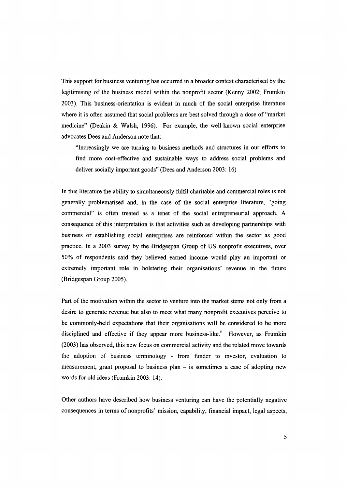This support for business venturing has occurred in a broader context characterised by the legitimising of the business model within the nonprofit sector (Kenny 2002; Frumkin 2003). This business-orientation is evident in much of the social enterprise literature where it is often assumed that social problems are best solved through a dose of "market medicine" (Deakin & Walsh, 1996). For example, the well-known social enterprise advocates Dees and Anderson note that:

"Increasingly we are turning to business methods and structures in our efforts to find more cost-effective and sustainable ways to address social problems and deliver socially important goods" (Dees and Anderson 2003: 16)

In this literature the ability to simultaneously fulfil charitable and commercial roles is not generally problematised and, in the case of the social enterprise literature, "going commercial" is often treated as a tenet of the social entrepreneurial approach. A consequence of this interpretation is that activities such as developing partnerships with business or establishing social enterprises are reinforced within the sector as good practice. In a 2003 survey by the Bridgespan Group of US nonprofit executives, over 50% of respondents said they believed earned income would play an important or extremely important role in bolstering their organisations' revenue in the future (Bridgespan Group 2005).

Part of the motivation within the sector to venture into the market stems not only from a desire to generate revenue but also to meet what many nonprofit executives perceive to be commonly-held expectations that their organisations will be considered to be more disciplined and effective if they appear more business-like.<sup>ii</sup> However, as Frumkin (2003) has observed, this new focus on commercial activity and the related move towards the adoption of business terminology - from funder to investor, evaluation to measurement, grant proposal to business plan – is sometimes a case of adopting new words for old ideas (Frumkin 2003: 14).

Other authors have described how business venturing can have the potentially negative consequences in terms of nonprofits' mission, capability, financial impact, legal aspects,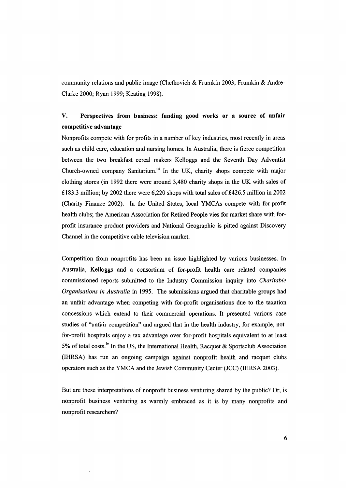community relations and public image (Chetkovich & Frumkin 2003; Frumkin & Andre-Clarke 2000; Ryan 1999; Keating 1998).

# v. Perspectives from business: funding good works or a source of unfair competitive advantage

Nonprofits compete with for profits in a number of key industries, most recently in areas such as child care, education and nursing homes. In Australia, there is fierce competition between the two breakfast cereal makers Kelloggs and the Seventh Day Adventist Church-owned company Sanitarium.<sup>iii</sup> In the UK, charity shops compete with major clothing stores (in 1992 there were around 3,480 charity shops in the UK with sales of £183.3 million; by 2002 there were 6,220 shops with total sales of £426.5 million in 2002 (Charity Finance 2002). In the United States, local YMCAs compete with for-profit health clubs; the American Association for Retired People vies for market share with forprofit insurance product providers and National Geographic is pitted against Discovery Channel in the competitive cable television market.

Competition from nonprofits has been an issue highlighted by various businesses. In Australia, Kelloggs and a consortium of for-profit health care related companies commissioned reports submitted to the Industry Commission inquiry into *Charitable Organisations in Australia* in 1995. The submissions argued that charitable groups had an unfair advantage when competing with for-profit organisations due to the taxation concessions which extend to their commercial operations. It presented various case studies of "unfair competition" and argued that in the health industry, for example, notfor-profit hospitals enjoy a tax advantage over for-profit hospitals equivalent to at least 5% of total costs.<sup>iv</sup> In the US, the International Health, Racquet & Sportsclub Association (IHRSA) has run an ongoing campaign against nonprofit health and racquet clubs operators such as the YMCA and the Jewish Community Center (JCe) (IHRSA 2003).

But are these interpretations of nonprofit business venturing shared by the public? Or, is nonprofit business venturing as warmly embraced as it is by many nonprofits and nonprofit researchers?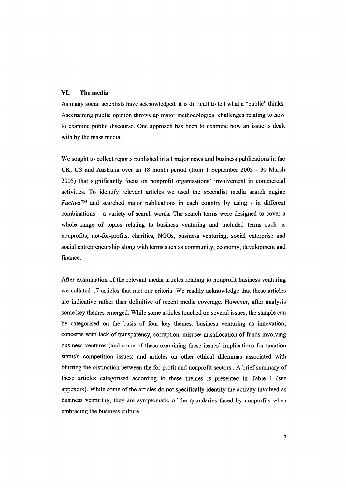## **VI. The media**

As many social scientists have acknowledged, it is difficult to tell what a "public" thinks. Ascertaining public opinion throws up major methodological challenges relating to how to examine public discourse. One approach has been to examine how an issue is dealt with by the mass media.

We sought to collect reports published in all major news and business publications in the UK, US and Australia over an 18 month period (from 1 September 2003 - 30 March 2005) that significantly focus on nonprofit organisations' involvement in commercial activities. To identify relevant articles we used the specialist media search engine *Factiva"* and searched major publications in each country by using - in different combinations - a variety of search words. The search terms were designed to cover a whole range of topics relating to business venturing and included terms such as nonprofits, not-for-profits, charities, NGOs, business venturing, social enterprise and social entrepreneurship along with terms such as community, economy, development and finance.

After examination of the relevant media articles relating to nonprofit business venturing we collated 17 articles that met our criteria. We readily acknowledge that these articles are indicative rather than definitive of recent media coverage. However, after analysis some key themes emerged. While some articles touched on several issues, the sample can be categorised on the basis of four key themes: business venturing as innovation; concerns with lack of transparency, corruption, misuse/ misallocation of funds involving business ventures (and some of these examining these issues' implications for taxation status); competition issues; and articles on other ethical dilemmas associated with blurring the distinction between the for-profit and nonprofit sectors .. A brief summary of these articles categorised according to these themes is presented in Table 1 (see appendix). While some of the articles do not specifically identify the activity involved as business venturing, they are symptomatic of the quandaries faced by nonprofits when embracing the business culture.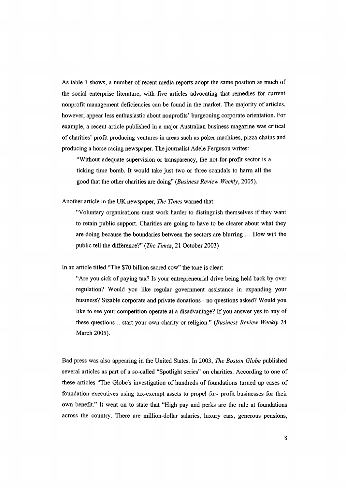As table I shows, a number of recent media reports adopt the same position as much of the social enterprise literature, with five articles advocating that remedies for current nonprofit management deficiencies can be found in the market. The majority of articles, however, appear less enthusiastic about nonprofits' burgeoning corporate orientation. For example, a recent article published in a major Australian business magazine was critical of charities' profit producing ventures in areas such as poker machines, pizza chains and producing a horse racing newspaper. The journalist Adele Ferguson writes:

"Without adequate supervision or transparency, the not-for-profit sector is a ticking time bomb. It would take just two or three scandals to harm all the good that the other charities are doing" *(Business Review Weekly, 2005).*

Another article in the UK newspaper, *The Times* warned that:

"Voluntary organisations must work harder to distinguish themselves if they want to retain public support. Charities are going to have to be clearer about what they are doing because the boundaries between the sectors are blurring ... How will the public tell the difference?" *(The Times,* 21 October 2003)

In an article titled "The \$70 billion sacred cow" the tone is clear:

"Are you sick of paying tax? Is your entrepreneurial drive being held back by over regulation? Would you like regular government assistance in expanding your business? Sizable corporate and private donations - no questions asked? Would you like to see your competition operate at a disadvantage? If you answer yes to any of these questions .. start your own charity or religion." *(Business Review Weekly 24* March 2005).

Bad press was also appearing in the United States. In 2003, *The Boston Globe* published several articles as part of a so-called "Spotlight series" on charities. According to one of these articles "The Globe's investigation of hundreds of foundations turned up cases of foundation executives using tax-exempt assets to propel for- profit businesses for their own benefit." It went on to state that "High pay and perks are the rule at foundations across the country. There are million-dollar salaries, luxury cars, generous pensions,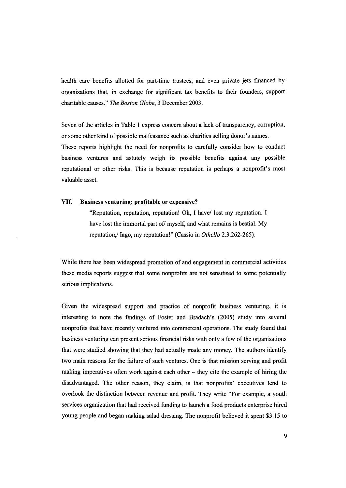health care benefits allotted for part-time trustees, and even private jets financed by organizations that, in exchange for significant tax benefits to their founders, support charitable causes." *The Boston Globe,* 3 December 2003.

Seven of the articles in Table 1 express concern about a lack of transparency, corruption, or some other kind of possible malfeasance such as charities selling donor's names. These reports highlight the need for nonprofits to carefully consider how to conduct business ventures and astutely weigh its possible benefits against any possible reputational or other risks. This is because reputation is perhaps a nonprofit's most valuable asset.

### VII. Business venturing: **profitable or** expensive?

"Reputation, reputation, reputation! Oh, I have/ lost my reputation. I have lost the immortal part of myself, and what remains is bestial. My reputation,/ Iago, my reputation!" (Cassio in *Othello* 2.3.262-265).

While there has been widespread promotion of and engagement in commercial activities these media reports suggest that some nonprofits are not sensitised to some potentially serious implications.

Given the widespread support and practice of nonprofit business venturing, it is interesting to note the findings of Foster and Bradach's (2005) study into several nonprofits that have recently ventured into commercial operations. The study found that business venturing can present serious financial risks with only a few of the organisations that were studied showing that they had actually made any money. The authors identify two main reasons for the failure of such ventures. One is that mission serving and profit making imperatives often work against each other - they cite the example of hiring the disadvantaged. The other reason, they claim, is that nonprofits' executives tend to overlook the distinction between revenue and profit. They write "For example, a youth services organization that had received funding to launch a food products enterprise hired young people and began making salad dressing. The nonprofit believed it spent \$3.15 to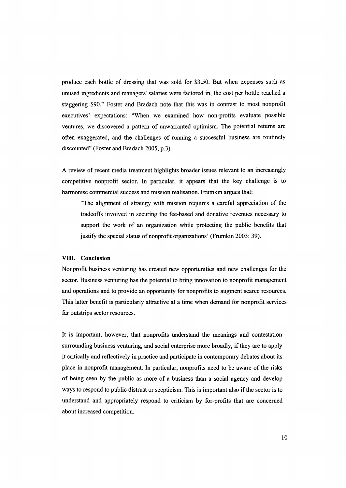produce each bottle of dressing that was sold for \$3.50. But when expenses such as unused ingredients and managers' salaries were factored in, the cost per bottle reached a staggering \$90." Foster and Bradach note that this was in contrast to most nonprofit executives' expectations: "When we examined how non-profits evaluate possible ventures, we discovered a pattern of unwarranted optimism. The potential returns are often exaggerated, and the challenges of running a successful business are routinely discounted" (Foster and Bradach 2005, p.3).

A review of recent media treatment highlights broader issues relevant to an increasingly competitive nonprofit sector. In particular, it appears that the key challenge is to harmonise commercial success and mission realisation. Frumkin argues that:

"The alignment of strategy with mission requires a careful appreciation of the tradeoffs involved in securing the fee-based and donative revenues necessary to support the work of an organization while protecting the public benefits that justify the special status of nonprofit organizations' (Frumkin 2003: 39).

### **VIII. Conclusion**

Nonprofit business venturing has created new opportunities and new challenges for the sector. Business venturing has the potential to bring innovation to nonprofit management and operations and to provide an opportunity for nonprofits to augment scarce resources. This latter benefit is particularly attractive at a time when demand for nonprofit services far outstrips sector resources.

It is important, however, that nonprofits understand the meanings and contestation surrounding business venturing, and social enterprise more broadly, if they are to apply it critically and reflectively in practice and participate in contemporary debates about its place in nonprofit management. In particular, nonprofits need to be aware of the risks of being seen by the public as more of a business than a social agency and develop ways to respond to public distrust or scepticism. This is important also if the sector is to understand and appropriately respond to criticism by for-profits that are concerned about increased competition.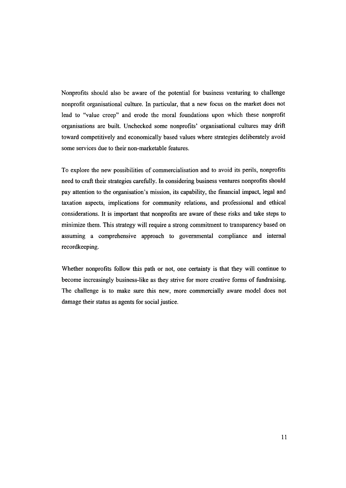Nonprofits should also be aware of the potential for business venturing to challenge nonprofit organisational culture. In particular, that a new focus on the market does not lead to "value creep" and erode the moral foundations upon which these nonprofit organisations are built. Unchecked some nonprofits' organisational cultures may drift toward competitively and economically based values where strategies deliberately avoid some services due to their non-marketable features.

To explore the new possibilities of commercialisation and to avoid its perils, nonprofits need to craft their strategies carefully. In considering business ventures nonprofits should pay attention to the organisation's mission, its capability, the financial impact, legal and taxation aspects, implications for community relations, and professional and ethical considerations. It is important that nonprofits are aware of these risks and take steps to minimize them. This strategy will require a strong commitment to transparency based on assuming a comprehensive approach to governmental compliance and internal recordkeeping.

Whether nonprofits follow this path or not, one certainty is that they will continue to become increasingly business-like as they strive for more creative forms of fundraising. The challenge is to make sure this new, more commercially aware model does not damage their status as agents for social justice.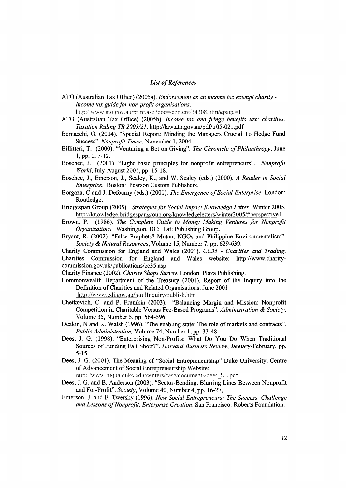### *List of References*

ATO (Australian Tax Office) (2005a). *Endorsement as an income tax exempt charity-Income tax guide for non-profit organisations.*

http://www.ato.gov.au/print.asp?doc=/content/34308.htm&page=1

- ATO (Australian Tax Office) (2005b). *Income tax and fringe benefits tax: charities. Taxation Ruling TR 2005/21.* <http://law.ato.gov.au/pdf7tr05-021.pdf>
- Bemacchi, G. (2004). "Special Report: Minding the Managers Crucial To Hedge Fund Success". *Nonprofit Times,* November 1,2004.
- Billitteri, T. (2000). "Venturing a Bet on Giving". *The Chronicle of Philanthropy,* June 1, pp. 1, 7-12.
- Boschee, 1. (2001). "Eight basic principles for nonprofit entrepreneurs". *Nonprofit World,* July-August 2001, pp. 15-18.
- Boschee, 1., Emerson, J., Sealey, K., and W. Sealey (eds.) (2000). *A Reader in Social Enterprise.* Boston: Pearson Custom Publishers.
- Borgaza, C and J. Defoumy (eds.) (2001). *The Emergence of Social Enterprise.* London: Routledge.
- Bridgespan Group (2005). *Strategies for Social Impact Knowledge Letter,* Winter 2005. http://knowledge.bridgespangroup.org/knowledgeletters/winter2005/#perspective1
- Brown, P. (1986). *The Complete Guide to Money Making Ventures for Nonprofit Organizations.* Washington, DC: Taft Publishing Group.
- Bryant, R. (2002). "False Prophets? Mutant NGOs and Philippine Environmentalism". *Society* & *Natural Resources,* Volume 15, Number 7. pp. 629-639.

Charity Commission for England and Wales (2001). *CC35 - Charities and Trading.* Charities Commission for England and Wales website: http://www.charitycommission.gov .uk/publications/cc35 .asp

Charity Finance (2002). *Charity Shops Survey.* London: Plaza Publishing.

Commonwealth Department of the Treasury (2001). Report of the Inquiry into the Definition of Charities and Related Organisations: June 2001

http://www.cdi.gov.au/htmllnquiry/publish.htm

- Chetkovich, C. and P. Frumkin (2003). "Balancing Margin and Mission: Nonprofit Competition in Charitable Versus Fee-Based Programs". *Administration* & *Society,* Volume 35, Number 5. pp. 564-596.
- Deakin, N and K. Walsh (1996). "The enabling state: The role of markets and contracts". *Public Administration,* Volume 74, Number 1, pp. 33-48
- Dees, J. G. (1998). "Enterprising Non-Profits: What Do You Do When Traditional Sources of Funding Fall Short?". *Harvard Business Review,* January-February, pp. 5-15
- Dees, J. G. (2001). The Meaning of "Social Entrepreneurship" Duke University, Centre of Advancement of Social Entrepreneurship Website:

http://www.fuqua.duke.edu/centers/case/documents/dees SE.pdf

- Dees, J. G. and B. Anderson (2003). "Sector-Bending: Blurring Lines Between Nonprofit and For-Profit". *Society,* Volume 40, Number 4, pp. 16-27,
- Emerson, 1. and F. Twersky (1996). *New Social Entrepreneurs: The Success, Challenge and Lessons of Nonprofit, Enterprise Creation.* San Francisco: Roberts Foundation.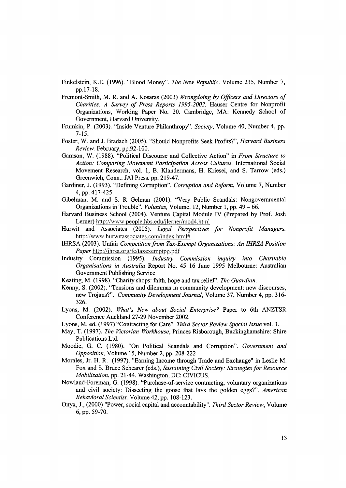Finkelstein, K.E. (1996). "Blood Money". *The New Republic.* Volume 215, Number 7, pp.17-18.

- Fremont-Smith, M. R. and A. Kosaras (2003) *Wrongdoing by Officers and Directors of Charities: A Survey of Press Reports 1995-2002.* Hauser Centre for Nonprofit Organizations, Working Paper No. 20. Cambridge, MA: Kennedy School of Government, Harvard University.
- Frumkin, P. (2003). "Inside Venture Philanthropy". *Society,* Volume 40, Number 4, pp. 7-15.
- Foster, W. and J. Bradach (2005). "Should Nonprofits Seek Profits?", *Harvard Business Review.* February, pp.92-100.
- Gamson, W. (1988). "Political Discourse and Collective Action" in *From Structure to Action: Comparing Movement Participation Across Cultures.* International Social Movement Research, vol. 1, B. Klandermans, H. Kriesei, and S. Tarrow (eds.) Greenwich, Conn.: JAI Press. pp. 219-47.
- Gardiner, J. (1993). "Defining Corruption". *Corruption and Reform,* Volume 7, Number 4, pp. 417-425.
- Gibelman, M. and S. R Gelman (2001). "Very Public Scandals: Nongovernmental Organizations in Trouble". *Voluntas,* Volume. 12, Number 1, pp. 49 - 66.
- Harvard Business School (2004). Venture Capital Module IV (Prepared by Prof. Josh Lerner) <http://vvvvw.people.hbs.edu/jlerner/mod4.html>
- Hurwit and Associates (2005). *Legal Perspectives for Nonprofit Managers.* http://www.hurwitassociates.com/index.html#
- IHRSA (2003). Unfair *Competition from Tax-Exempt Organizations: An IHRSA Position Paper* <http://ihrsa.org/fc/taxexemptpp.pdf>
- Industry Commission (1995). *Industry Commission inquiry into Charitable Organisations in Australia* Report No. 45 16 June 1995 Melbourne: Australian Government Publishing Service
- Keating, M. (1998). "Charity shops: faith, hope and tax relief', *The Guardian.*
- Kenny, S. (2002). "Tensions and dilemmas in community development: new discourses, new Trojans?". *Community Development Journal,* Volume 37, Number 4, pp. 316- 326.
- Lyons, M. (2002). *What's New about Social Enterprise?* Paper to 6th ANZTSR Conference Auckland 27-29 November 2002.
- Lyons, M. ed. (1997) "Contracting for Care". *Third Sector Review Special Issue* vol. 3.
- May, T. (1997). *The Victorian Workhouse,* Princes Risborough, Buckinghamshire: Shire Publications Ltd.
- Moodie, G. C. (1980). "On Political Scandals and Corruption". *Government and Opposition,* Volume 15, Number 2, pp. 208-222
- Morales, Jr. H. R. (1997). "Earning Income through Trade and Exchange" in Leslie M. Fox and S. Bruce Schearer (eds.), *Sustaining Civil Society: Strategies for Resource Mobilization,* pp. 21-44. Washington, DC: CIVICUS,
- Nowland-Foreman, G. (1998). "Purchase-of-service contracting, voluntary organizations and civil society: Dissecting the goose that lays the golden eggs?". *American Behavioral Scientist,* Volume 42, pp. 108-123.
- Onyx, J., (2000) "Power, social capital and accountability". *Third Sector Review,* Volume 6, pp. 59-70.